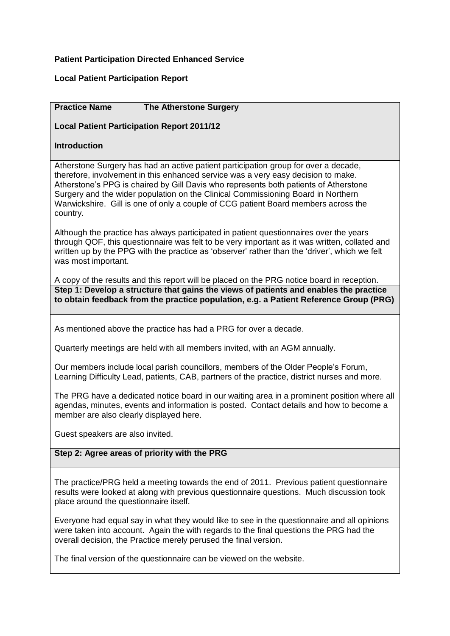## **Patient Participation Directed Enhanced Service**

## **Local Patient Participation Report**

# **Practice Name The Atherstone Surgery Local Patient Participation Report 2011/12 Introduction** Atherstone Surgery has had an active patient participation group for over a decade, therefore, involvement in this enhanced service was a very easy decision to make. Atherstone's PPG is chaired by Gill Davis who represents both patients of Atherstone Surgery and the wider population on the Clinical Commissioning Board in Northern Warwickshire. Gill is one of only a couple of CCG patient Board members across the country. Although the practice has always participated in patient questionnaires over the years through QOF, this questionnaire was felt to be very important as it was written, collated and written up by the PPG with the practice as 'observer' rather than the 'driver', which we felt was most important. A copy of the results and this report will be placed on the PRG notice board in reception. **Step 1: Develop a structure that gains the views of patients and enables the practice to obtain feedback from the practice population, e.g. a Patient Reference Group (PRG)** As mentioned above the practice has had a PRG for over a decade. Quarterly meetings are held with all members invited, with an AGM annually. Our members include local parish councillors, members of the Older People's Forum, Learning Difficulty Lead, patients, CAB, partners of the practice, district nurses and more. The PRG have a dedicated notice board in our waiting area in a prominent position where all agendas, minutes, events and information is posted. Contact details and how to become a member are also clearly displayed here. Guest speakers are also invited.

The practice/PRG held a meeting towards the end of 2011. Previous patient questionnaire results were looked at along with previous questionnaire questions. Much discussion took place around the questionnaire itself.

Everyone had equal say in what they would like to see in the questionnaire and all opinions were taken into account. Again the with regards to the final questions the PRG had the overall decision, the Practice merely perused the final version.

The final version of the questionnaire can be viewed on the website.

**Step 2: Agree areas of priority with the PRG**